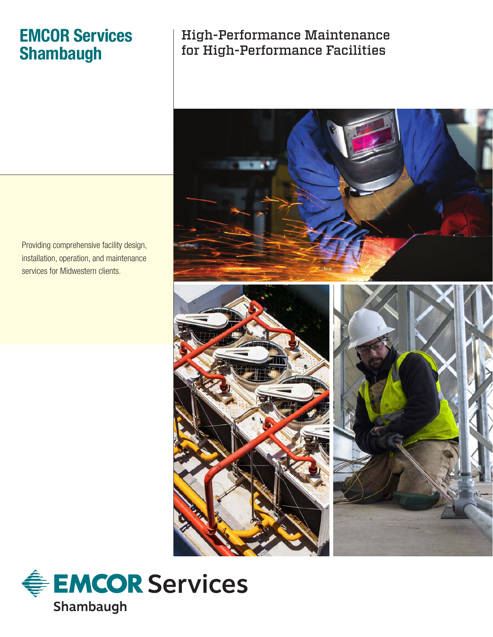# **EMCOR Services Shambaugh**

## High-Performance Maintenance for High-Performance Facilities



Providing comprehensive facility design, installation, operation, and maintenance services for Midwestern clients.

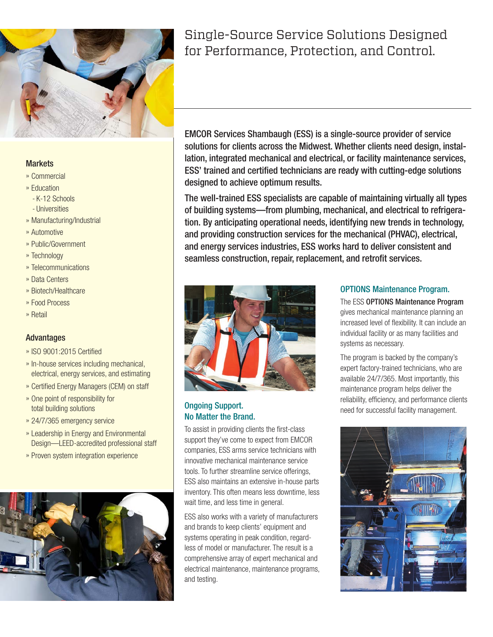

#### **Markets**

- » Commercial
- » Education
	- K-12 Schools
	- Universities
- » Manufacturing/Industrial
- » Automotive
- » Public/Government
- » Technology
- » Telecommunications
- » Data Centers
- » Biotech/Healthcare
- » Food Process
- » Retail

#### Advantages

- » ISO 9001:2015 Certified
- » In-house services including mechanical, electrical, energy services, and estimating
- » Certified Energy Managers (CEM) on staff
- » One point of responsibility for total building solutions
- » 24/7/365 emergency service
- » Leadership in Energy and Environmental Design—LEED-accredited professional staff
- » Proven system integration experience



## Single-Source Service Solutions Designed for Performance, Protection, and Control.

EMCOR Services Shambaugh (ESS) is a single-source provider of service solutions for clients across the Midwest. Whether clients need design, installation, integrated mechanical and electrical, or facility maintenance services, ESS' trained and certified technicians are ready with cutting-edge solutions designed to achieve optimum results.

The well-trained ESS specialists are capable of maintaining virtually all types of building systems—from plumbing, mechanical, and electrical to refrigeration. By anticipating operational needs, identifying new trends in technology, and providing construction services for the mechanical (PHVAC), electrical, and energy services industries, ESS works hard to deliver consistent and seamless construction, repair, replacement, and retrofit services.



#### Ongoing Support. No Matter the Brand.

To assist in providing clients the first-class support they've come to expect from EMCOR companies, ESS arms service technicians with innovative mechanical maintenance service tools. To further streamline service offerings, ESS also maintains an extensive in-house parts inventory. This often means less downtime, less wait time, and less time in general.

ESS also works with a variety of manufacturers and brands to keep clients' equipment and systems operating in peak condition, regardless of model or manufacturer. The result is a comprehensive array of expert mechanical and electrical maintenance, maintenance programs, and testing.

#### OPTIONS Maintenance Program.

The ESS OPTIONS Maintenance Program gives mechanical maintenance planning an increased level of flexibility. It can include an individual facility or as many facilities and systems as necessary.

The program is backed by the company's expert factory-trained technicians, who are available 24/7/365. Most importantly, this maintenance program helps deliver the reliability, efficiency, and performance clients need for successful facility management.

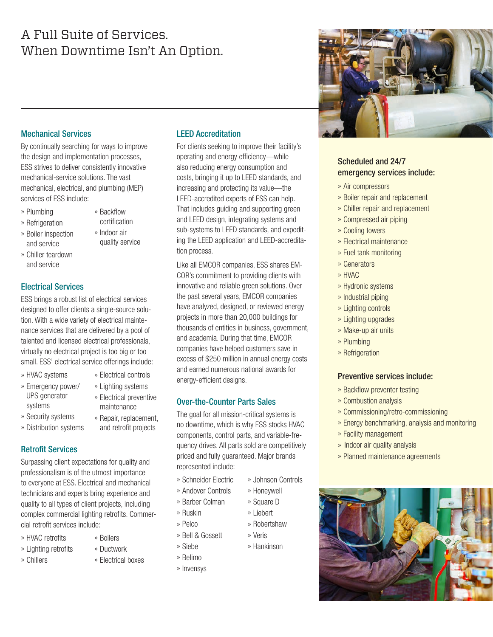## A Full Suite of Services. When Downtime Isn't An Option.

#### Mechanical Services

By continually searching for ways to improve the design and implementation processes, ESS strives to deliver consistently innovative mechanical-service solutions. The vast mechanical, electrical, and plumbing (MEP) services of ESS include:

- » Plumbing
- » Backflow certification

» Indoor air quality service

- » Refrigeration
- » Boiler inspection and service
- » Chiller teardown and service

#### Electrical Services

ESS brings a robust list of electrical services designed to offer clients a single-source solution. With a wide variety of electrical maintenance services that are delivered by a pool of talented and licensed electrical professionals, virtually no electrical project is too big or too small. ESS' electrical service offerings include:

- » HVAC systems
- » Emergency power/ UPS generator systems
- » Security systems
- » Distribution systems

#### Retrofit Services

Surpassing client expectations for quality and professionalism is of the utmost importance to everyone at ESS. Electrical and mechanical technicians and experts bring experience and quality to all types of client projects, including complex commercial lighting retrofits. Commercial retrofit services include:

- » HVAC retrofits
- » Lighting retrofits
- » Chillers
- » Boilers
- » Ductwork
	- » Electrical boxes

#### LEED Accreditation

For clients seeking to improve their facility's operating and energy efficiency—while also reducing energy consumption and costs, bringing it up to LEED standards, and increasing and protecting its value—the LEED-accredited experts of ESS can help. That includes guiding and supporting green and LEED design, integrating systems and sub-systems to LEED standards, and expediting the LEED application and LEED-accreditation process.

Like all EMCOR companies, ESS shares EM-COR's commitment to providing clients with innovative and reliable green solutions. Over the past several years, EMCOR companies have analyzed, designed, or reviewed energy projects in more than 20,000 buildings for thousands of entities in business, government, and academia. During that time, EMCOR companies have helped customers save in excess of \$250 million in annual energy costs and earned numerous national awards for energy-efficient designs.

#### Over-the-Counter Parts Sales

The goal for all mission-critical systems is no downtime, which is why ESS stocks HVAC components, control parts, and variable-frequency drives. All parts sold are competitively priced and fully guaranteed. Major brands represented include:

- » Johnson Controls
- » Andover Controls
- » Barber Colman
	-
- » Pelco
- » Bell & Gossett
- » Siebe
- » Belimo
- » Invensys



#### Scheduled and 24/7 emergency services include:

- » Air compressors
- » Boiler repair and replacement
- » Chiller repair and replacement
- » Compressed air piping
- » Cooling towers
- » Electrical maintenance
- » Fuel tank monitoring
- » Generators
- » HVAC
- » Hydronic systems
- » Industrial piping
- » Lighting controls
- » Lighting upgrades
- » Make-up air units
- » Plumbing
- » Refrigeration

#### Preventive services include:

- » Backflow preventer testing
- » Combustion analysis
- » Commissioning/retro-commissioning
- » Energy benchmarking, analysis and monitoring
- » Facility management
- » Indoor air quality analysis
- » Planned maintenance agreements



- and retrofit projects
- 

» Electrical controls » Lighting systems » Electrical preventive maintenance » Repair, replacement,

- - » Schneider Electric
	- -
		-
		-
- - » Hankinson
- 
- 
- 
- » Robertshaw
	- » Veris
	-

» Honeywell » Square D » Liebert

- 
- - » Ruskin
		-
		-
-